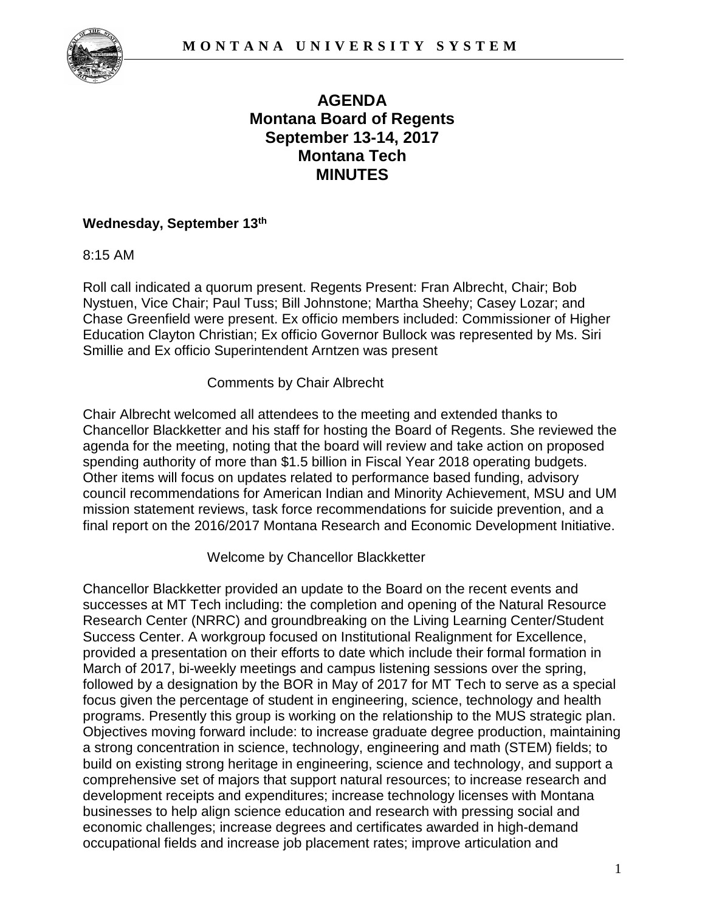

# **AGENDA Montana Board of Regents September 13-14, 2017 Montana Tech MINUTES**

### **Wednesday, September 13th**

8:15 AM

Roll call indicated a quorum present. Regents Present: Fran Albrecht, Chair; Bob Nystuen, Vice Chair; Paul Tuss; Bill Johnstone; Martha Sheehy; Casey Lozar; and Chase Greenfield were present. Ex officio members included: Commissioner of Higher Education Clayton Christian; Ex officio Governor Bullock was represented by Ms. Siri Smillie and Ex officio Superintendent Arntzen was present

Comments by Chair Albrecht

Chair Albrecht welcomed all attendees to the meeting and extended thanks to Chancellor Blackketter and his staff for hosting the Board of Regents. She reviewed the agenda for the meeting, noting that the board will review and take action on proposed spending authority of more than \$1.5 billion in Fiscal Year 2018 operating budgets. Other items will focus on updates related to performance based funding, advisory council recommendations for American Indian and Minority Achievement, MSU and UM mission statement reviews, task force recommendations for suicide prevention, and a final report on the 2016/2017 Montana Research and Economic Development Initiative.

Welcome by Chancellor Blackketter

Chancellor Blackketter provided an update to the Board on the recent events and successes at MT Tech including: the completion and opening of the Natural Resource Research Center (NRRC) and groundbreaking on the Living Learning Center/Student Success Center. A workgroup focused on Institutional Realignment for Excellence, provided a presentation on their efforts to date which include their formal formation in March of 2017, bi-weekly meetings and campus listening sessions over the spring, followed by a designation by the BOR in May of 2017 for MT Tech to serve as a special focus given the percentage of student in engineering, science, technology and health programs. Presently this group is working on the relationship to the MUS strategic plan. Objectives moving forward include: to increase graduate degree production, maintaining a strong concentration in science, technology, engineering and math (STEM) fields; to build on existing strong heritage in engineering, science and technology, and support a comprehensive set of majors that support natural resources; to increase research and development receipts and expenditures; increase technology licenses with Montana businesses to help align science education and research with pressing social and economic challenges; increase degrees and certificates awarded in high-demand occupational fields and increase job placement rates; improve articulation and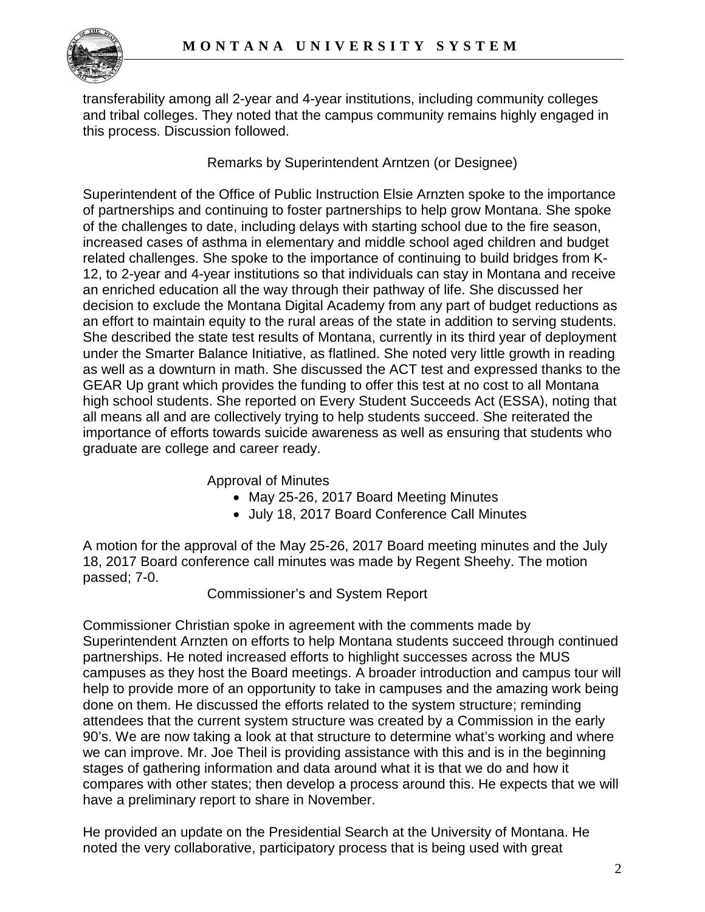

transferability among all 2-year and 4-year institutions, including community colleges and tribal colleges. They noted that the campus community remains highly engaged in this process. Discussion followed.

Remarks by Superintendent Arntzen (or Designee)

Superintendent of the Office of Public Instruction Elsie Arnzten spoke to the importance of partnerships and continuing to foster partnerships to help grow Montana. She spoke of the challenges to date, including delays with starting school due to the fire season, increased cases of asthma in elementary and middle school aged children and budget related challenges. She spoke to the importance of continuing to build bridges from K-12, to 2-year and 4-year institutions so that individuals can stay in Montana and receive an enriched education all the way through their pathway of life. She discussed her decision to exclude the Montana Digital Academy from any part of budget reductions as an effort to maintain equity to the rural areas of the state in addition to serving students. She described the state test results of Montana, currently in its third year of deployment under the Smarter Balance Initiative, as flatlined. She noted very little growth in reading as well as a downturn in math. She discussed the ACT test and expressed thanks to the GEAR Up grant which provides the funding to offer this test at no cost to all Montana high school students. She reported on Every Student Succeeds Act (ESSA), noting that all means all and are collectively trying to help students succeed. She reiterated the importance of efforts towards suicide awareness as well as ensuring that students who graduate are college and career ready.

Approval of Minutes

- May 25-26, 2017 Board Meeting Minutes
- July 18, 2017 Board Conference Call Minutes

A motion for the approval of the May 25-26, 2017 Board meeting minutes and the July 18, 2017 Board conference call minutes was made by Regent Sheehy. The motion passed; 7-0.

Commissioner's and System Report

Commissioner Christian spoke in agreement with the comments made by Superintendent Arnzten on efforts to help Montana students succeed through continued partnerships. He noted increased efforts to highlight successes across the MUS campuses as they host the Board meetings. A broader introduction and campus tour will help to provide more of an opportunity to take in campuses and the amazing work being done on them. He discussed the efforts related to the system structure; reminding attendees that the current system structure was created by a Commission in the early 90's. We are now taking a look at that structure to determine what's working and where we can improve. Mr. Joe Theil is providing assistance with this and is in the beginning stages of gathering information and data around what it is that we do and how it compares with other states; then develop a process around this. He expects that we will have a preliminary report to share in November.

He provided an update on the Presidential Search at the University of Montana. He noted the very collaborative, participatory process that is being used with great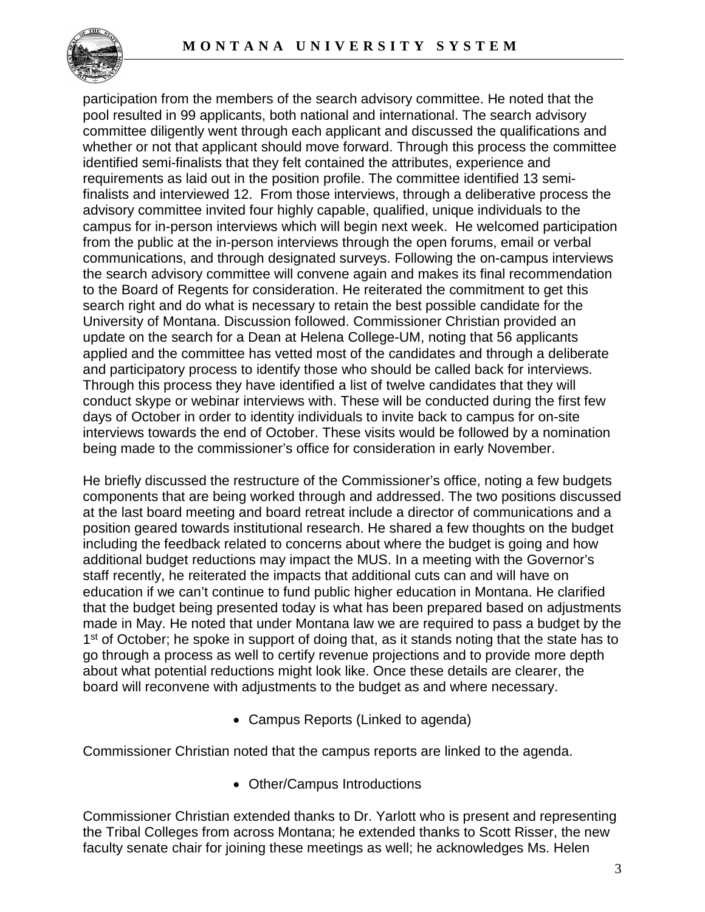

participation from the members of the search advisory committee. He noted that the pool resulted in 99 applicants, both national and international. The search advisory committee diligently went through each applicant and discussed the qualifications and whether or not that applicant should move forward. Through this process the committee identified semi-finalists that they felt contained the attributes, experience and requirements as laid out in the position profile. The committee identified 13 semifinalists and interviewed 12. From those interviews, through a deliberative process the advisory committee invited four highly capable, qualified, unique individuals to the campus for in-person interviews which will begin next week. He welcomed participation from the public at the in-person interviews through the open forums, email or verbal communications, and through designated surveys. Following the on-campus interviews the search advisory committee will convene again and makes its final recommendation to the Board of Regents for consideration. He reiterated the commitment to get this search right and do what is necessary to retain the best possible candidate for the University of Montana. Discussion followed. Commissioner Christian provided an update on the search for a Dean at Helena College-UM, noting that 56 applicants applied and the committee has vetted most of the candidates and through a deliberate and participatory process to identify those who should be called back for interviews. Through this process they have identified a list of twelve candidates that they will conduct skype or webinar interviews with. These will be conducted during the first few days of October in order to identity individuals to invite back to campus for on-site interviews towards the end of October. These visits would be followed by a nomination being made to the commissioner's office for consideration in early November.

He briefly discussed the restructure of the Commissioner's office, noting a few budgets components that are being worked through and addressed. The two positions discussed at the last board meeting and board retreat include a director of communications and a position geared towards institutional research. He shared a few thoughts on the budget including the feedback related to concerns about where the budget is going and how additional budget reductions may impact the MUS. In a meeting with the Governor's staff recently, he reiterated the impacts that additional cuts can and will have on education if we can't continue to fund public higher education in Montana. He clarified that the budget being presented today is what has been prepared based on adjustments made in May. He noted that under Montana law we are required to pass a budget by the 1<sup>st</sup> of October; he spoke in support of doing that, as it stands noting that the state has to go through a process as well to certify revenue projections and to provide more depth about what potential reductions might look like. Once these details are clearer, the board will reconvene with adjustments to the budget as and where necessary.

• Campus Reports (Linked to agenda)

Commissioner Christian noted that the campus reports are linked to the agenda.

• Other/Campus Introductions

Commissioner Christian extended thanks to Dr. Yarlott who is present and representing the Tribal Colleges from across Montana; he extended thanks to Scott Risser, the new faculty senate chair for joining these meetings as well; he acknowledges Ms. Helen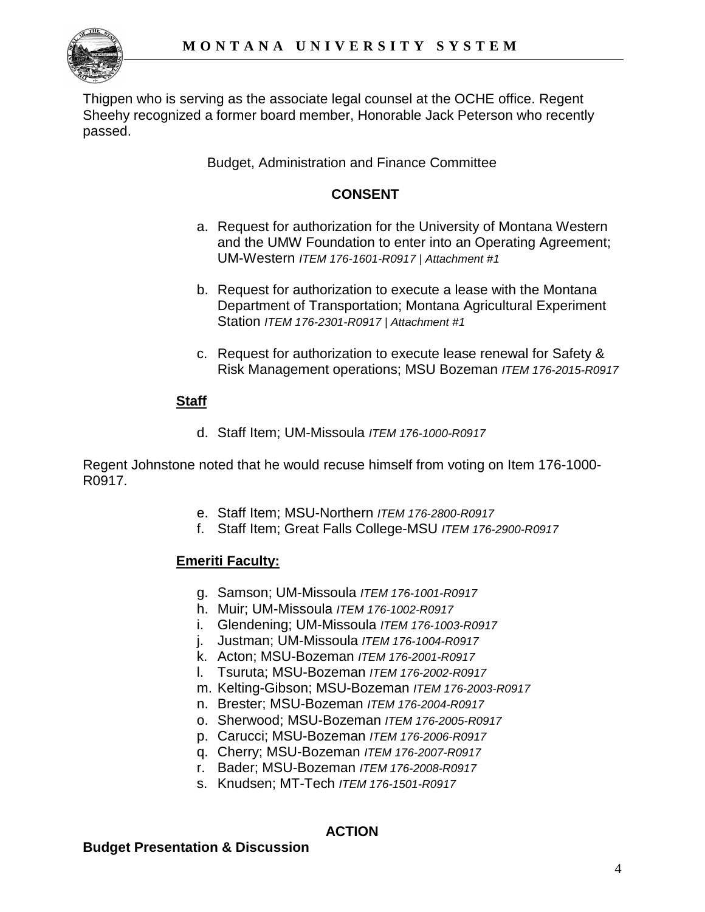

Thigpen who is serving as the associate legal counsel at the OCHE office. Regent Sheehy recognized a former board member, Honorable Jack Peterson who recently passed.

Budget, Administration and Finance Committee

# **CONSENT**

- a. Request for authorization for the University of Montana Western and the UMW Foundation to enter into an Operating Agreement; UM-Western *ITEM 176-1601-R0917 | Attachment #1*
- b. Request for authorization to execute a lease with the Montana Department of Transportation; Montana Agricultural Experiment Station *ITEM 176-2301-R0917 | Attachment #1*
- c. Request for authorization to execute lease renewal for Safety & Risk Management operations; MSU Bozeman *ITEM 176-2015-R0917*

# **Staff**

d. Staff Item; UM-Missoula *ITEM 176-1000-R0917*

Regent Johnstone noted that he would recuse himself from voting on Item 176-1000- R0917.

- e. Staff Item; MSU-Northern *ITEM 176-2800-R0917*
- f. Staff Item; Great Falls College-MSU *ITEM 176-2900-R0917*

# **Emeriti Faculty:**

- g. Samson; UM-Missoula *ITEM 176-1001-R0917*
- h. Muir; UM-Missoula *ITEM 176-1002-R0917*
- i. Glendening; UM-Missoula *ITEM 176-1003-R0917*
- j. Justman; UM-Missoula *ITEM 176-1004-R0917*
- k. Acton; MSU-Bozeman *ITEM 176-2001-R0917*
- l. Tsuruta; MSU-Bozeman *ITEM 176-2002-R0917*
- m. Kelting-Gibson; MSU-Bozeman *ITEM 176-2003-R0917*
- n. Brester; MSU-Bozeman *ITEM 176-2004-R0917*
- o. Sherwood; MSU-Bozeman *ITEM 176-2005-R0917*
- p. Carucci; MSU-Bozeman *ITEM 176-2006-R0917*
- q. Cherry; MSU-Bozeman *ITEM 176-2007-R0917*
- r. Bader; MSU-Bozeman *ITEM 176-2008-R0917*
- s. Knudsen; MT-Tech *ITEM 176-1501-R0917*

# **ACTION**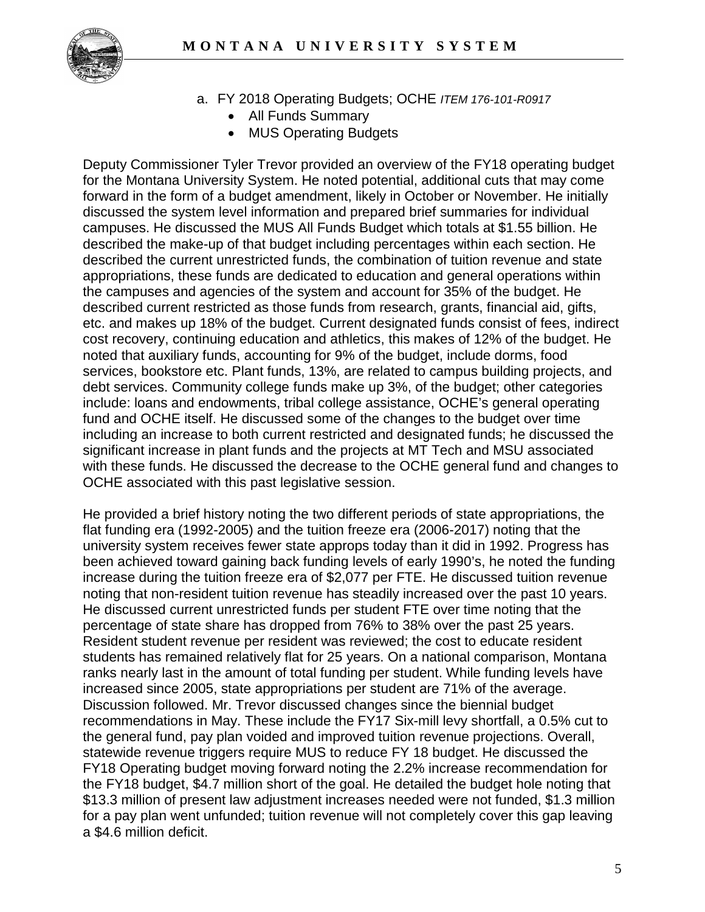

- a. FY 2018 Operating Budgets; OCHE *ITEM 176-101-R0917*
	- All Funds Summary
	- MUS Operating Budgets

Deputy Commissioner Tyler Trevor provided an overview of the FY18 operating budget for the Montana University System. He noted potential, additional cuts that may come forward in the form of a budget amendment, likely in October or November. He initially discussed the system level information and prepared brief summaries for individual campuses. He discussed the MUS All Funds Budget which totals at \$1.55 billion. He described the make-up of that budget including percentages within each section. He described the current unrestricted funds, the combination of tuition revenue and state appropriations, these funds are dedicated to education and general operations within the campuses and agencies of the system and account for 35% of the budget. He described current restricted as those funds from research, grants, financial aid, gifts, etc. and makes up 18% of the budget. Current designated funds consist of fees, indirect cost recovery, continuing education and athletics, this makes of 12% of the budget. He noted that auxiliary funds, accounting for 9% of the budget, include dorms, food services, bookstore etc. Plant funds, 13%, are related to campus building projects, and debt services. Community college funds make up 3%, of the budget; other categories include: loans and endowments, tribal college assistance, OCHE's general operating fund and OCHE itself. He discussed some of the changes to the budget over time including an increase to both current restricted and designated funds; he discussed the significant increase in plant funds and the projects at MT Tech and MSU associated with these funds. He discussed the decrease to the OCHE general fund and changes to OCHE associated with this past legislative session.

He provided a brief history noting the two different periods of state appropriations, the flat funding era (1992-2005) and the tuition freeze era (2006-2017) noting that the university system receives fewer state approps today than it did in 1992. Progress has been achieved toward gaining back funding levels of early 1990's, he noted the funding increase during the tuition freeze era of \$2,077 per FTE. He discussed tuition revenue noting that non-resident tuition revenue has steadily increased over the past 10 years. He discussed current unrestricted funds per student FTE over time noting that the percentage of state share has dropped from 76% to 38% over the past 25 years. Resident student revenue per resident was reviewed; the cost to educate resident students has remained relatively flat for 25 years. On a national comparison, Montana ranks nearly last in the amount of total funding per student. While funding levels have increased since 2005, state appropriations per student are 71% of the average. Discussion followed. Mr. Trevor discussed changes since the biennial budget recommendations in May. These include the FY17 Six-mill levy shortfall, a 0.5% cut to the general fund, pay plan voided and improved tuition revenue projections. Overall, statewide revenue triggers require MUS to reduce FY 18 budget. He discussed the FY18 Operating budget moving forward noting the 2.2% increase recommendation for the FY18 budget, \$4.7 million short of the goal. He detailed the budget hole noting that \$13.3 million of present law adjustment increases needed were not funded, \$1.3 million for a pay plan went unfunded; tuition revenue will not completely cover this gap leaving a \$4.6 million deficit.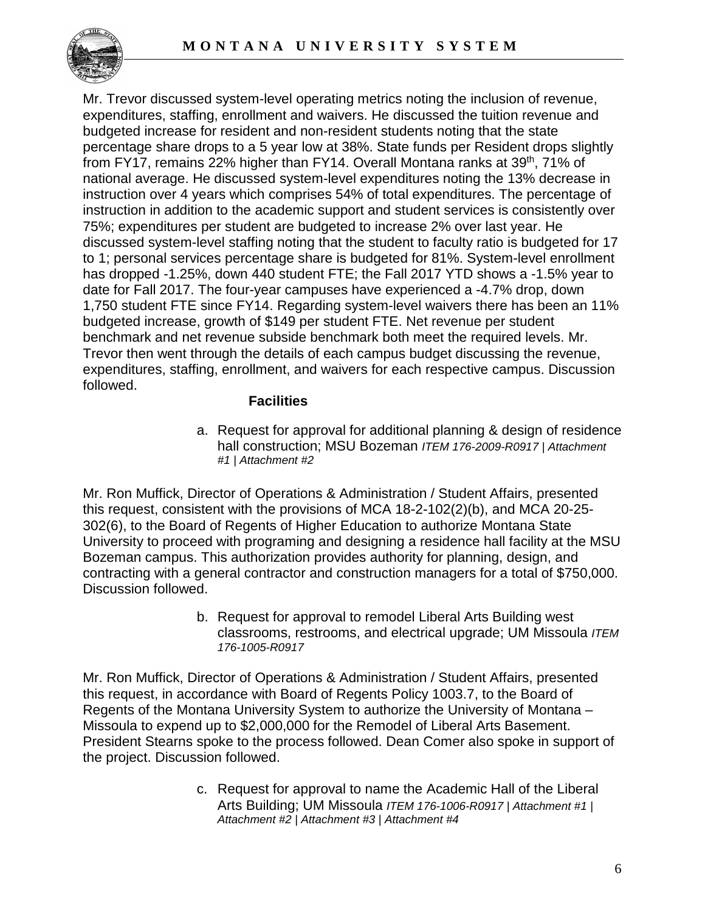

Mr. Trevor discussed system-level operating metrics noting the inclusion of revenue, expenditures, staffing, enrollment and waivers. He discussed the tuition revenue and budgeted increase for resident and non-resident students noting that the state percentage share drops to a 5 year low at 38%. State funds per Resident drops slightly from FY17, remains 22% higher than FY14. Overall Montana ranks at 39<sup>th</sup>, 71% of national average. He discussed system-level expenditures noting the 13% decrease in instruction over 4 years which comprises 54% of total expenditures. The percentage of instruction in addition to the academic support and student services is consistently over 75%; expenditures per student are budgeted to increase 2% over last year. He discussed system-level staffing noting that the student to faculty ratio is budgeted for 17 to 1; personal services percentage share is budgeted for 81%. System-level enrollment has dropped -1.25%, down 440 student FTE; the Fall 2017 YTD shows a -1.5% year to date for Fall 2017. The four-year campuses have experienced a -4.7% drop, down 1,750 student FTE since FY14. Regarding system-level waivers there has been an 11% budgeted increase, growth of \$149 per student FTE. Net revenue per student benchmark and net revenue subside benchmark both meet the required levels. Mr. Trevor then went through the details of each campus budget discussing the revenue, expenditures, staffing, enrollment, and waivers for each respective campus. Discussion followed.

#### **Facilities**

a. Request for approval for additional planning & design of residence hall construction; MSU Bozeman *ITEM 176-2009-R0917 | Attachment #1 | Attachment #2*

Mr. Ron Muffick, Director of Operations & Administration / Student Affairs, presented this request, consistent with the provisions of MCA 18-2-102(2)(b), and MCA 20-25- 302(6), to the Board of Regents of Higher Education to authorize Montana State University to proceed with programing and designing a residence hall facility at the MSU Bozeman campus. This authorization provides authority for planning, design, and contracting with a general contractor and construction managers for a total of \$750,000. Discussion followed.

> b. Request for approval to remodel Liberal Arts Building west classrooms, restrooms, and electrical upgrade; UM Missoula *ITEM 176-1005-R0917*

Mr. Ron Muffick, Director of Operations & Administration / Student Affairs, presented this request, in accordance with Board of Regents Policy 1003.7, to the Board of Regents of the Montana University System to authorize the University of Montana – Missoula to expend up to \$2,000,000 for the Remodel of Liberal Arts Basement. President Stearns spoke to the process followed. Dean Comer also spoke in support of the project. Discussion followed.

> c. Request for approval to name the Academic Hall of the Liberal Arts Building; UM Missoula *ITEM 176-1006-R0917 | Attachment #1 | Attachment #2 | Attachment #3 | Attachment #4*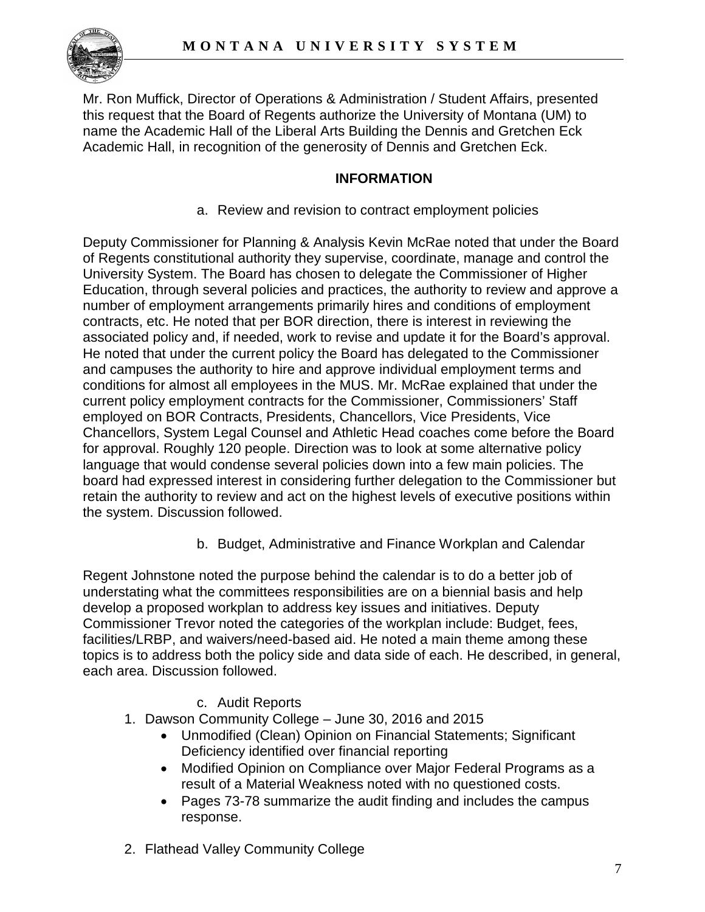

Mr. Ron Muffick, Director of Operations & Administration / Student Affairs, presented this request that the Board of Regents authorize the University of Montana (UM) to name the Academic Hall of the Liberal Arts Building the Dennis and Gretchen Eck Academic Hall, in recognition of the generosity of Dennis and Gretchen Eck.

# **INFORMATION**

a. Review and revision to contract employment policies

Deputy Commissioner for Planning & Analysis Kevin McRae noted that under the Board of Regents constitutional authority they supervise, coordinate, manage and control the University System. The Board has chosen to delegate the Commissioner of Higher Education, through several policies and practices, the authority to review and approve a number of employment arrangements primarily hires and conditions of employment contracts, etc. He noted that per BOR direction, there is interest in reviewing the associated policy and, if needed, work to revise and update it for the Board's approval. He noted that under the current policy the Board has delegated to the Commissioner and campuses the authority to hire and approve individual employment terms and conditions for almost all employees in the MUS. Mr. McRae explained that under the current policy employment contracts for the Commissioner, Commissioners' Staff employed on BOR Contracts, Presidents, Chancellors, Vice Presidents, Vice Chancellors, System Legal Counsel and Athletic Head coaches come before the Board for approval. Roughly 120 people. Direction was to look at some alternative policy language that would condense several policies down into a few main policies. The board had expressed interest in considering further delegation to the Commissioner but retain the authority to review and act on the highest levels of executive positions within the system. Discussion followed.

b. Budget, Administrative and Finance Workplan and Calendar

Regent Johnstone noted the purpose behind the calendar is to do a better job of understating what the committees responsibilities are on a biennial basis and help develop a proposed workplan to address key issues and initiatives. Deputy Commissioner Trevor noted the categories of the workplan include: Budget, fees, facilities/LRBP, and waivers/need-based aid. He noted a main theme among these topics is to address both the policy side and data side of each. He described, in general, each area. Discussion followed.

# c. Audit Reports

- 1. Dawson Community College June 30, 2016 and 2015
	- Unmodified (Clean) Opinion on Financial Statements; Significant Deficiency identified over financial reporting
	- Modified Opinion on Compliance over Major Federal Programs as a result of a Material Weakness noted with no questioned costs.
	- Pages 73-78 summarize the audit finding and includes the campus response.
- 2. Flathead Valley Community College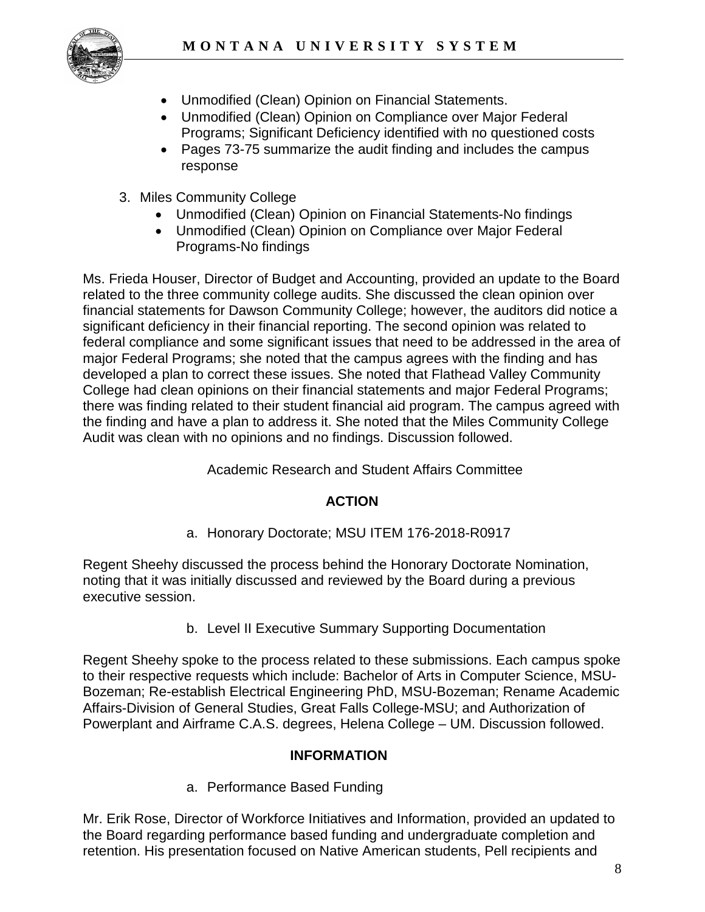

- Unmodified (Clean) Opinion on Financial Statements.
- Unmodified (Clean) Opinion on Compliance over Major Federal Programs; Significant Deficiency identified with no questioned costs
- Pages 73-75 summarize the audit finding and includes the campus response
- 3. Miles Community College
	- Unmodified (Clean) Opinion on Financial Statements-No findings
	- Unmodified (Clean) Opinion on Compliance over Major Federal Programs-No findings

Ms. Frieda Houser, Director of Budget and Accounting, provided an update to the Board related to the three community college audits. She discussed the clean opinion over financial statements for Dawson Community College; however, the auditors did notice a significant deficiency in their financial reporting. The second opinion was related to federal compliance and some significant issues that need to be addressed in the area of major Federal Programs; she noted that the campus agrees with the finding and has developed a plan to correct these issues. She noted that Flathead Valley Community College had clean opinions on their financial statements and major Federal Programs; there was finding related to their student financial aid program. The campus agreed with the finding and have a plan to address it. She noted that the Miles Community College Audit was clean with no opinions and no findings. Discussion followed.

# Academic Research and Student Affairs Committee

# **ACTION**

a. Honorary Doctorate; MSU ITEM 176-2018-R0917

Regent Sheehy discussed the process behind the Honorary Doctorate Nomination, noting that it was initially discussed and reviewed by the Board during a previous executive session.

b. Level II Executive Summary Supporting Documentation

Regent Sheehy spoke to the process related to these submissions. Each campus spoke to their respective requests which include: Bachelor of Arts in Computer Science, MSU-Bozeman; Re-establish Electrical Engineering PhD, MSU-Bozeman; Rename Academic Affairs-Division of General Studies, Great Falls College-MSU; and Authorization of Powerplant and Airframe C.A.S. degrees, Helena College – UM. Discussion followed.

# **INFORMATION**

a. Performance Based Funding

Mr. Erik Rose, Director of Workforce Initiatives and Information, provided an updated to the Board regarding performance based funding and undergraduate completion and retention. His presentation focused on Native American students, Pell recipients and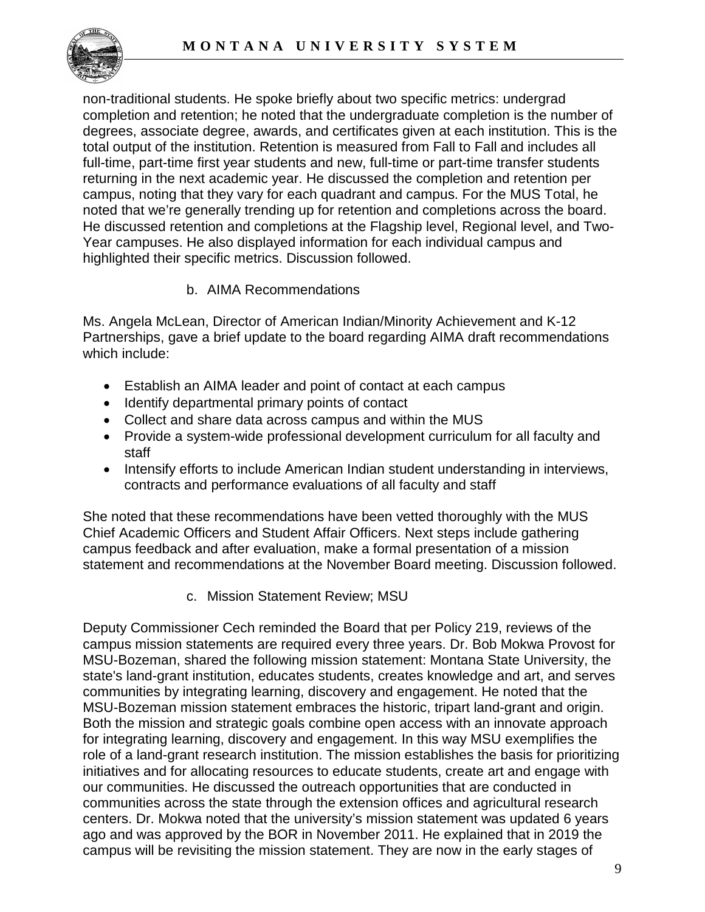

non-traditional students. He spoke briefly about two specific metrics: undergrad completion and retention; he noted that the undergraduate completion is the number of degrees, associate degree, awards, and certificates given at each institution. This is the total output of the institution. Retention is measured from Fall to Fall and includes all full-time, part-time first year students and new, full-time or part-time transfer students returning in the next academic year. He discussed the completion and retention per campus, noting that they vary for each quadrant and campus. For the MUS Total, he noted that we're generally trending up for retention and completions across the board. He discussed retention and completions at the Flagship level, Regional level, and Two-Year campuses. He also displayed information for each individual campus and highlighted their specific metrics. Discussion followed.

b. AIMA Recommendations

Ms. Angela McLean, Director of American Indian/Minority Achievement and K-12 Partnerships, gave a brief update to the board regarding AIMA draft recommendations which include:

- Establish an AIMA leader and point of contact at each campus
- Identify departmental primary points of contact
- Collect and share data across campus and within the MUS
- Provide a system-wide professional development curriculum for all faculty and staff
- Intensify efforts to include American Indian student understanding in interviews, contracts and performance evaluations of all faculty and staff

She noted that these recommendations have been vetted thoroughly with the MUS Chief Academic Officers and Student Affair Officers. Next steps include gathering campus feedback and after evaluation, make a formal presentation of a mission statement and recommendations at the November Board meeting. Discussion followed.

c. Mission Statement Review; MSU

Deputy Commissioner Cech reminded the Board that per Policy 219, reviews of the campus mission statements are required every three years. Dr. Bob Mokwa Provost for MSU-Bozeman, shared the following mission statement: Montana State University, the state's land-grant institution, educates students, creates knowledge and art, and serves communities by integrating learning, discovery and engagement. He noted that the MSU-Bozeman mission statement embraces the historic, tripart land-grant and origin. Both the mission and strategic goals combine open access with an innovate approach for integrating learning, discovery and engagement. In this way MSU exemplifies the role of a land-grant research institution. The mission establishes the basis for prioritizing initiatives and for allocating resources to educate students, create art and engage with our communities. He discussed the outreach opportunities that are conducted in communities across the state through the extension offices and agricultural research centers. Dr. Mokwa noted that the university's mission statement was updated 6 years ago and was approved by the BOR in November 2011. He explained that in 2019 the campus will be revisiting the mission statement. They are now in the early stages of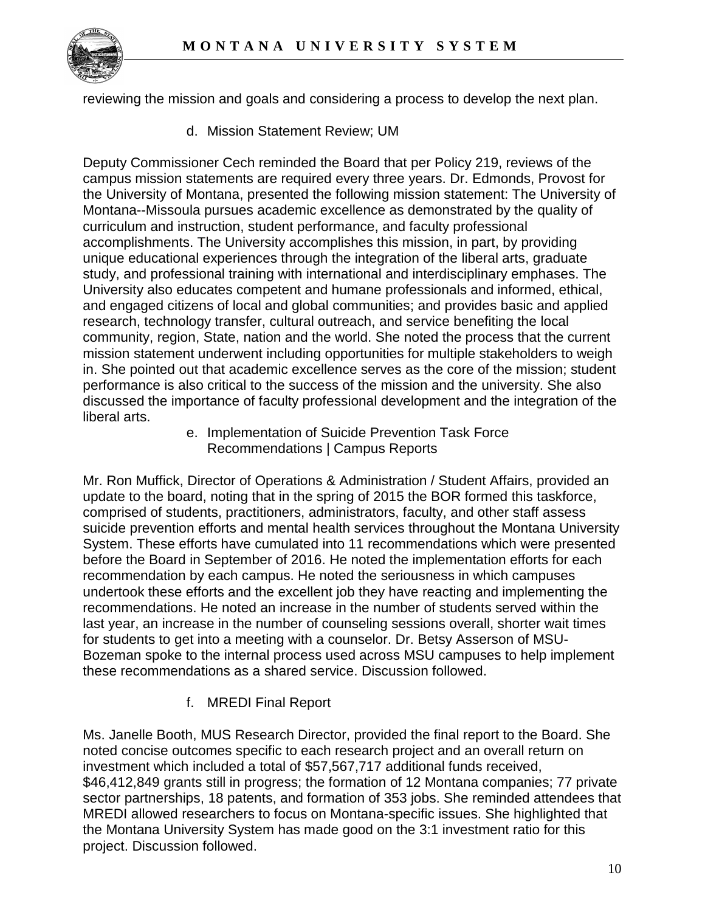

reviewing the mission and goals and considering a process to develop the next plan.

d. Mission Statement Review; UM

Deputy Commissioner Cech reminded the Board that per Policy 219, reviews of the campus mission statements are required every three years. Dr. Edmonds, Provost for the University of Montana, presented the following mission statement: The University of Montana--Missoula pursues academic excellence as demonstrated by the quality of curriculum and instruction, student performance, and faculty professional accomplishments. The University accomplishes this mission, in part, by providing unique educational experiences through the integration of the liberal arts, graduate study, and professional training with international and interdisciplinary emphases. The University also educates competent and humane professionals and informed, ethical, and engaged citizens of local and global communities; and provides basic and applied research, technology transfer, cultural outreach, and service benefiting the local community, region, State, nation and the world. She noted the process that the current mission statement underwent including opportunities for multiple stakeholders to weigh in. She pointed out that academic excellence serves as the core of the mission; student performance is also critical to the success of the mission and the university. She also discussed the importance of faculty professional development and the integration of the liberal arts.

e. Implementation of Suicide Prevention Task Force Recommendations | Campus Reports

Mr. Ron Muffick, Director of Operations & Administration / Student Affairs, provided an update to the board, noting that in the spring of 2015 the BOR formed this taskforce, comprised of students, practitioners, administrators, faculty, and other staff assess suicide prevention efforts and mental health services throughout the Montana University System. These efforts have cumulated into 11 recommendations which were presented before the Board in September of 2016. He noted the implementation efforts for each recommendation by each campus. He noted the seriousness in which campuses undertook these efforts and the excellent job they have reacting and implementing the recommendations. He noted an increase in the number of students served within the last year, an increase in the number of counseling sessions overall, shorter wait times for students to get into a meeting with a counselor. Dr. Betsy Asserson of MSU-Bozeman spoke to the internal process used across MSU campuses to help implement these recommendations as a shared service. Discussion followed.

f. MREDI Final Report

Ms. Janelle Booth, MUS Research Director, provided the final report to the Board. She noted concise outcomes specific to each research project and an overall return on investment which included a total of \$57,567,717 additional funds received, \$46,412,849 grants still in progress; the formation of 12 Montana companies; 77 private sector partnerships, 18 patents, and formation of 353 jobs. She reminded attendees that MREDI allowed researchers to focus on Montana-specific issues. She highlighted that the Montana University System has made good on the 3:1 investment ratio for this project. Discussion followed.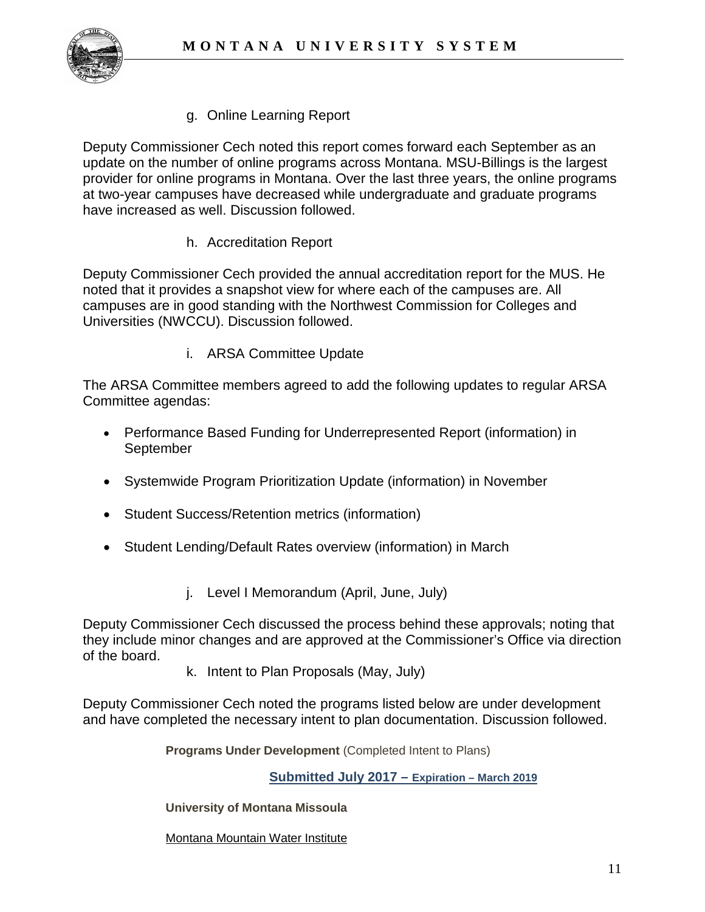

g. Online Learning Report

Deputy Commissioner Cech noted this report comes forward each September as an update on the number of online programs across Montana. MSU-Billings is the largest provider for online programs in Montana. Over the last three years, the online programs at two-year campuses have decreased while undergraduate and graduate programs have increased as well. Discussion followed.

h. Accreditation Report

Deputy Commissioner Cech provided the annual accreditation report for the MUS. He noted that it provides a snapshot view for where each of the campuses are. All campuses are in good standing with the Northwest Commission for Colleges and Universities (NWCCU). Discussion followed.

i. ARSA Committee Update

The ARSA Committee members agreed to add the following updates to regular ARSA Committee agendas:

- Performance Based Funding for Underrepresented Report (information) in September
- Systemwide Program Prioritization Update (information) in November
- Student Success/Retention metrics (information)
- Student Lending/Default Rates overview (information) in March
	- j. Level I Memorandum (April, June, July)

Deputy Commissioner Cech discussed the process behind these approvals; noting that they include minor changes and are approved at the Commissioner's Office via direction of the board.

k. Intent to Plan Proposals (May, July)

Deputy Commissioner Cech noted the programs listed below are under development and have completed the necessary intent to plan documentation. Discussion followed.

**Programs Under Development** (Completed Intent to Plans)

**Submitted July 2017 – Expiration – March 2019**

#### **University of Montana Missoula**

[Montana Mountain Water Institute](http://mus.edu/che/arsa/IntenttoPlan/2017/UM/Water_Institute_I2P.pdf)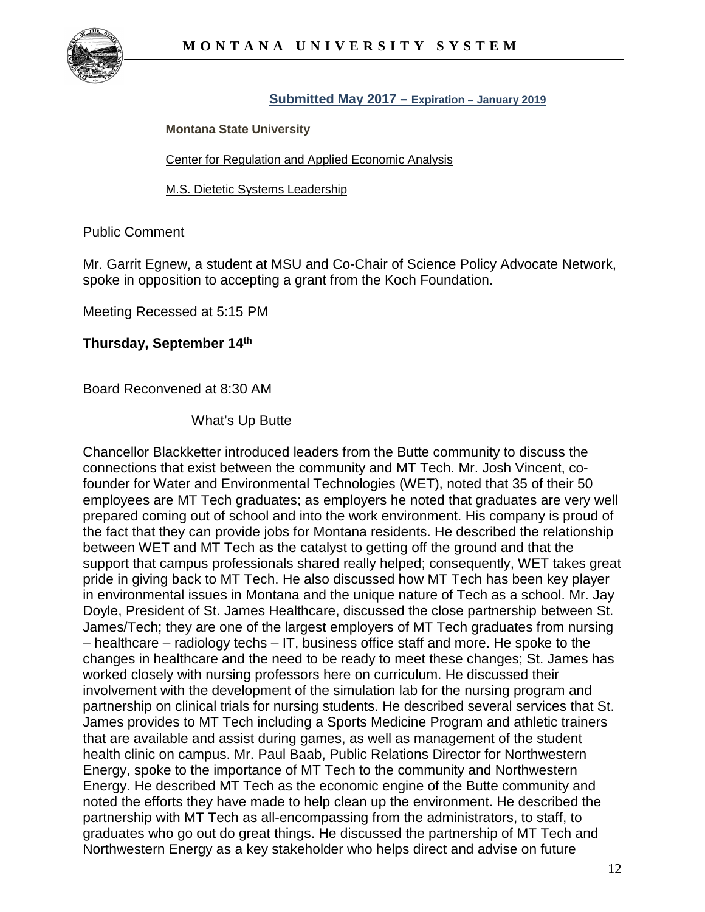

#### **Submitted May 2017 – Expiration – January 2019**

**Montana State University**

[Center for Regulation and Applied Economic Analysis](http://mus.edu/che/arsa/IntenttoPlan/2017/MSU/IntentToPlan_MSU%20Center%20for%20Regulation%20and%20Applied%20Economic%20Analysis.pdf)

[M.S. Dietetic Systems Leadership](http://mus.edu/che/arsa/IntenttoPlan/2017/MSU/IntentToPlan_M.S.%20Dietetic%20Systems%20Leadership.pdf)

Public Comment

Mr. Garrit Egnew, a student at MSU and Co-Chair of Science Policy Advocate Network, spoke in opposition to accepting a grant from the Koch Foundation.

Meeting Recessed at 5:15 PM

### **Thursday, September 14th**

Board Reconvened at 8:30 AM

What's Up Butte

Chancellor Blackketter introduced leaders from the Butte community to discuss the connections that exist between the community and MT Tech. Mr. Josh Vincent, cofounder for Water and Environmental Technologies (WET), noted that 35 of their 50 employees are MT Tech graduates; as employers he noted that graduates are very well prepared coming out of school and into the work environment. His company is proud of the fact that they can provide jobs for Montana residents. He described the relationship between WET and MT Tech as the catalyst to getting off the ground and that the support that campus professionals shared really helped; consequently, WET takes great pride in giving back to MT Tech. He also discussed how MT Tech has been key player in environmental issues in Montana and the unique nature of Tech as a school. Mr. Jay Doyle, President of St. James Healthcare, discussed the close partnership between St. James/Tech; they are one of the largest employers of MT Tech graduates from nursing – healthcare – radiology techs – IT, business office staff and more. He spoke to the changes in healthcare and the need to be ready to meet these changes; St. James has worked closely with nursing professors here on curriculum. He discussed their involvement with the development of the simulation lab for the nursing program and partnership on clinical trials for nursing students. He described several services that St. James provides to MT Tech including a Sports Medicine Program and athletic trainers that are available and assist during games, as well as management of the student health clinic on campus. Mr. Paul Baab, Public Relations Director for Northwestern Energy, spoke to the importance of MT Tech to the community and Northwestern Energy. He described MT Tech as the economic engine of the Butte community and noted the efforts they have made to help clean up the environment. He described the partnership with MT Tech as all-encompassing from the administrators, to staff, to graduates who go out do great things. He discussed the partnership of MT Tech and Northwestern Energy as a key stakeholder who helps direct and advise on future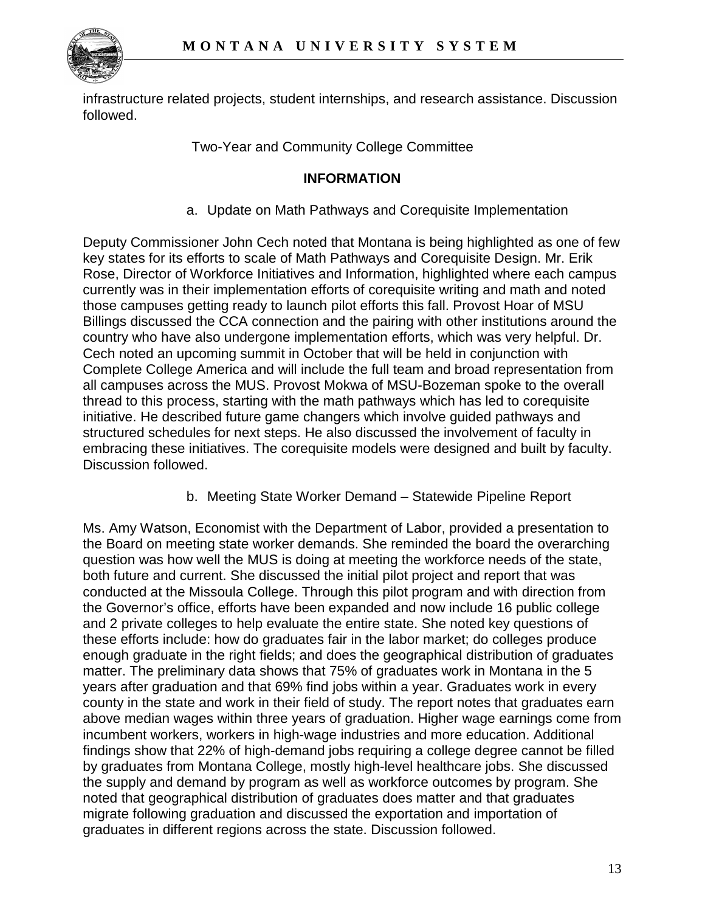

infrastructure related projects, student internships, and research assistance. Discussion followed.

# Two-Year and Community College Committee

### **INFORMATION**

a. Update on Math Pathways and Corequisite Implementation

Deputy Commissioner John Cech noted that Montana is being highlighted as one of few key states for its efforts to scale of Math Pathways and Corequisite Design. Mr. Erik Rose, Director of Workforce Initiatives and Information, highlighted where each campus currently was in their implementation efforts of corequisite writing and math and noted those campuses getting ready to launch pilot efforts this fall. Provost Hoar of MSU Billings discussed the CCA connection and the pairing with other institutions around the country who have also undergone implementation efforts, which was very helpful. Dr. Cech noted an upcoming summit in October that will be held in conjunction with Complete College America and will include the full team and broad representation from all campuses across the MUS. Provost Mokwa of MSU-Bozeman spoke to the overall thread to this process, starting with the math pathways which has led to corequisite initiative. He described future game changers which involve guided pathways and structured schedules for next steps. He also discussed the involvement of faculty in embracing these initiatives. The corequisite models were designed and built by faculty. Discussion followed.

b. Meeting State Worker Demand – Statewide Pipeline Report

Ms. Amy Watson, Economist with the Department of Labor, provided a presentation to the Board on meeting state worker demands. She reminded the board the overarching question was how well the MUS is doing at meeting the workforce needs of the state, both future and current. She discussed the initial pilot project and report that was conducted at the Missoula College. Through this pilot program and with direction from the Governor's office, efforts have been expanded and now include 16 public college and 2 private colleges to help evaluate the entire state. She noted key questions of these efforts include: how do graduates fair in the labor market; do colleges produce enough graduate in the right fields; and does the geographical distribution of graduates matter. The preliminary data shows that 75% of graduates work in Montana in the 5 years after graduation and that 69% find jobs within a year. Graduates work in every county in the state and work in their field of study. The report notes that graduates earn above median wages within three years of graduation. Higher wage earnings come from incumbent workers, workers in high-wage industries and more education. Additional findings show that 22% of high-demand jobs requiring a college degree cannot be filled by graduates from Montana College, mostly high-level healthcare jobs. She discussed the supply and demand by program as well as workforce outcomes by program. She noted that geographical distribution of graduates does matter and that graduates migrate following graduation and discussed the exportation and importation of graduates in different regions across the state. Discussion followed.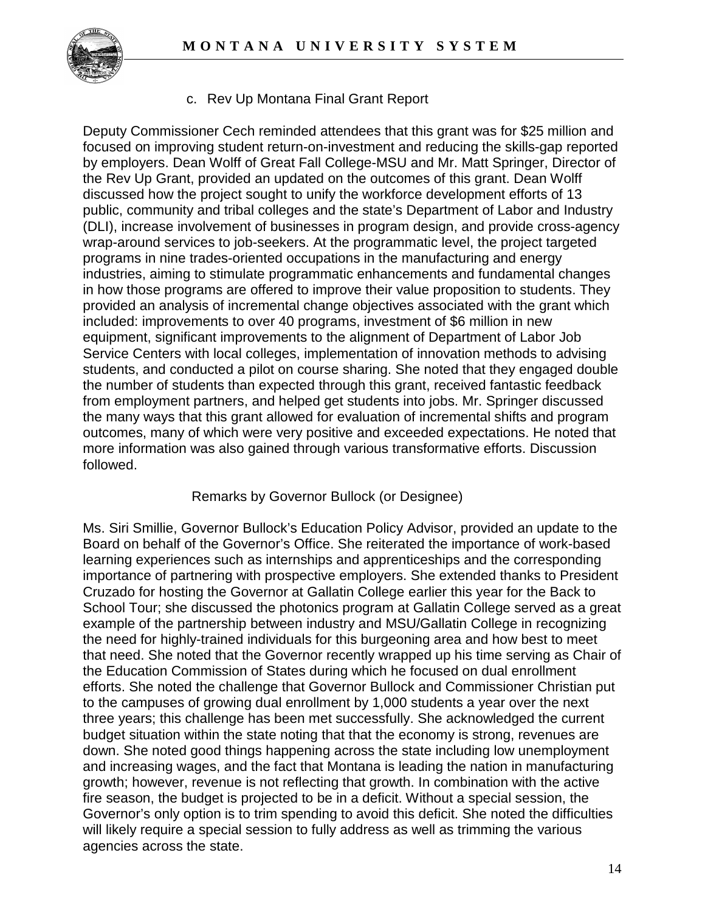

c. Rev Up Montana Final Grant Report

Deputy Commissioner Cech reminded attendees that this grant was for \$25 million and focused on improving student return-on-investment and reducing the skills-gap reported by employers. Dean Wolff of Great Fall College-MSU and Mr. Matt Springer, Director of the Rev Up Grant, provided an updated on the outcomes of this grant. Dean Wolff discussed how the project sought to unify the workforce development efforts of 13 public, community and tribal colleges and the state's Department of Labor and Industry (DLI), increase involvement of businesses in program design, and provide cross-agency wrap-around services to job-seekers. At the programmatic level, the project targeted programs in nine trades-oriented occupations in the manufacturing and energy industries, aiming to stimulate programmatic enhancements and fundamental changes in how those programs are offered to improve their value proposition to students. They provided an analysis of incremental change objectives associated with the grant which included: improvements to over 40 programs, investment of \$6 million in new equipment, significant improvements to the alignment of Department of Labor Job Service Centers with local colleges, implementation of innovation methods to advising students, and conducted a pilot on course sharing. She noted that they engaged double the number of students than expected through this grant, received fantastic feedback from employment partners, and helped get students into jobs. Mr. Springer discussed the many ways that this grant allowed for evaluation of incremental shifts and program outcomes, many of which were very positive and exceeded expectations. He noted that more information was also gained through various transformative efforts. Discussion followed.

#### Remarks by Governor Bullock (or Designee)

Ms. Siri Smillie, Governor Bullock's Education Policy Advisor, provided an update to the Board on behalf of the Governor's Office. She reiterated the importance of work-based learning experiences such as internships and apprenticeships and the corresponding importance of partnering with prospective employers. She extended thanks to President Cruzado for hosting the Governor at Gallatin College earlier this year for the Back to School Tour; she discussed the photonics program at Gallatin College served as a great example of the partnership between industry and MSU/Gallatin College in recognizing the need for highly-trained individuals for this burgeoning area and how best to meet that need. She noted that the Governor recently wrapped up his time serving as Chair of the Education Commission of States during which he focused on dual enrollment efforts. She noted the challenge that Governor Bullock and Commissioner Christian put to the campuses of growing dual enrollment by 1,000 students a year over the next three years; this challenge has been met successfully. She acknowledged the current budget situation within the state noting that that the economy is strong, revenues are down. She noted good things happening across the state including low unemployment and increasing wages, and the fact that Montana is leading the nation in manufacturing growth; however, revenue is not reflecting that growth. In combination with the active fire season, the budget is projected to be in a deficit. Without a special session, the Governor's only option is to trim spending to avoid this deficit. She noted the difficulties will likely require a special session to fully address as well as trimming the various agencies across the state.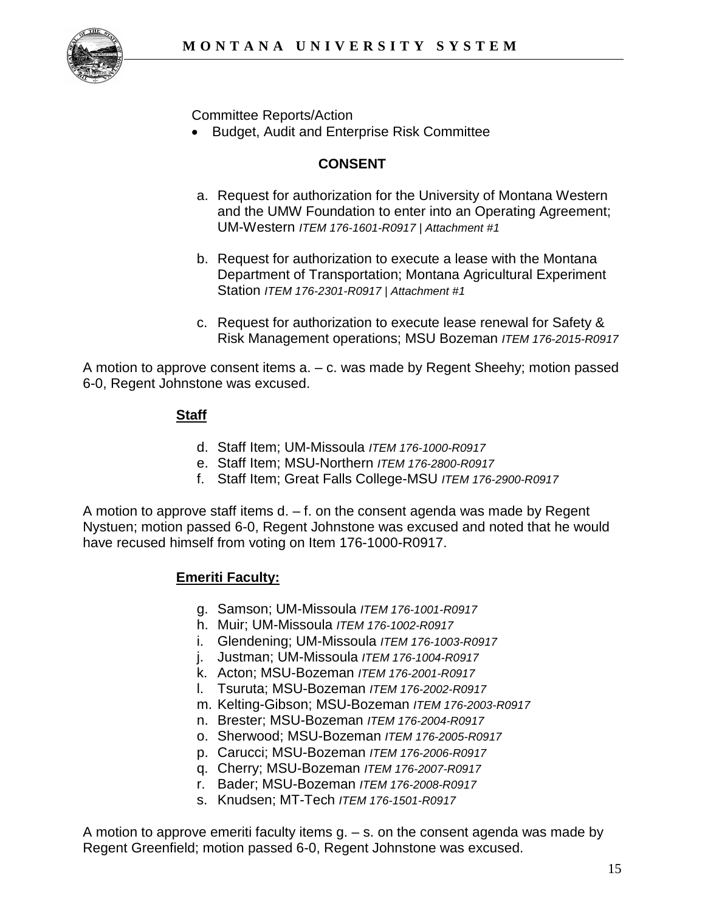

Committee Reports/Action

• Budget, Audit and Enterprise Risk Committee

# **CONSENT**

- a. Request for authorization for the University of Montana Western and the UMW Foundation to enter into an Operating Agreement; UM-Western *ITEM 176-1601-R0917 | Attachment #1*
- b. Request for authorization to execute a lease with the Montana Department of Transportation; Montana Agricultural Experiment Station *ITEM 176-2301-R0917 | Attachment #1*
- c. Request for authorization to execute lease renewal for Safety & Risk Management operations; MSU Bozeman *ITEM 176-2015-R0917*

A motion to approve consent items a. – c. was made by Regent Sheehy; motion passed 6-0, Regent Johnstone was excused.

### **Staff**

- d. Staff Item; UM-Missoula *ITEM 176-1000-R0917*
- e. Staff Item; MSU-Northern *ITEM 176-2800-R0917*
- f. Staff Item; Great Falls College-MSU *ITEM 176-2900-R0917*

A motion to approve staff items  $d - f$  on the consent agenda was made by Regent Nystuen; motion passed 6-0, Regent Johnstone was excused and noted that he would have recused himself from voting on Item 176-1000-R0917.

#### **Emeriti Faculty:**

- g. Samson; UM-Missoula *ITEM 176-1001-R0917*
- h. Muir; UM-Missoula *ITEM 176-1002-R0917*
- i. Glendening; UM-Missoula *ITEM 176-1003-R0917*
- j. Justman; UM-Missoula *ITEM 176-1004-R0917*
- k. Acton; MSU-Bozeman *ITEM 176-2001-R0917*
- l. Tsuruta; MSU-Bozeman *ITEM 176-2002-R0917*
- m. Kelting-Gibson; MSU-Bozeman *ITEM 176-2003-R0917*
- n. Brester; MSU-Bozeman *ITEM 176-2004-R0917*
- o. Sherwood; MSU-Bozeman *ITEM 176-2005-R0917*
- p. Carucci; MSU-Bozeman *ITEM 176-2006-R0917*
- q. Cherry; MSU-Bozeman *ITEM 176-2007-R0917*
- r. Bader; MSU-Bozeman *ITEM 176-2008-R0917*
- s. Knudsen; MT-Tech *ITEM 176-1501-R0917*

A motion to approve emeriti faculty items  $g - s$  on the consent agenda was made by Regent Greenfield; motion passed 6-0, Regent Johnstone was excused.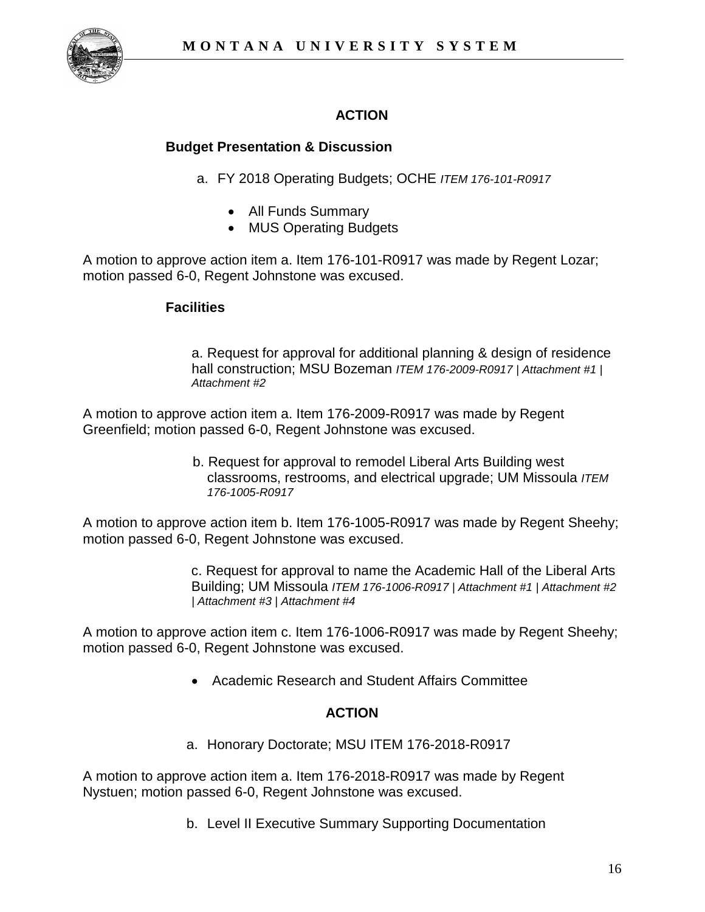

# **ACTION**

# **Budget Presentation & Discussion**

- a. FY 2018 Operating Budgets; OCHE *ITEM 176-101-R0917*
	- All Funds Summary
	- MUS Operating Budgets

A motion to approve action item a. Item 176-101-R0917 was made by Regent Lozar; motion passed 6-0, Regent Johnstone was excused.

#### **Facilities**

a. Request for approval for additional planning & design of residence hall construction; MSU Bozeman *ITEM 176-2009-R0917 | Attachment #1 | Attachment #2*

A motion to approve action item a. Item 176-2009-R0917 was made by Regent Greenfield; motion passed 6-0, Regent Johnstone was excused.

> b. Request for approval to remodel Liberal Arts Building west classrooms, restrooms, and electrical upgrade; UM Missoula *ITEM 176-1005-R0917*

A motion to approve action item b. Item 176-1005-R0917 was made by Regent Sheehy; motion passed 6-0, Regent Johnstone was excused.

> c. Request for approval to name the Academic Hall of the Liberal Arts Building; UM Missoula *ITEM 176-1006-R0917 | Attachment #1 | Attachment #2 | Attachment #3 | Attachment #4*

A motion to approve action item c. Item 176-1006-R0917 was made by Regent Sheehy; motion passed 6-0, Regent Johnstone was excused.

• Academic Research and Student Affairs Committee

# **ACTION**

a. Honorary Doctorate; MSU ITEM 176-2018-R0917

A motion to approve action item a. Item 176-2018-R0917 was made by Regent Nystuen; motion passed 6-0, Regent Johnstone was excused.

b. Level II Executive Summary Supporting Documentation